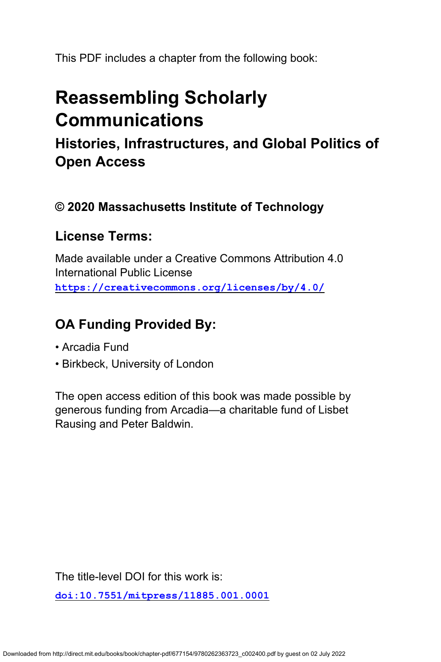This PDF includes a chapter from the following book:

# **Reassembling Scholarly Communications**

**Histories, Infrastructures, and Global Politics of Open Access**

# **© 2020 Massachusetts Institute of Technology**

# **License Terms:**

Made available under a Creative Commons Attribution 4.0 International Public License **<https://creativecommons.org/licenses/by/4.0/>**

# **OA Funding Provided By:**

- Arcadia Fund
- Birkbeck, University of London

The open access edition of this book was made possible by generous funding from Arcadia—a charitable fund of Lisbet Rausing and Peter Baldwin.

The title-level DOI for this work is:

**[doi:10.7551/mitpress/11885.001.0001](https://doi.org/10.7551/mitpress/11885.001.0001)**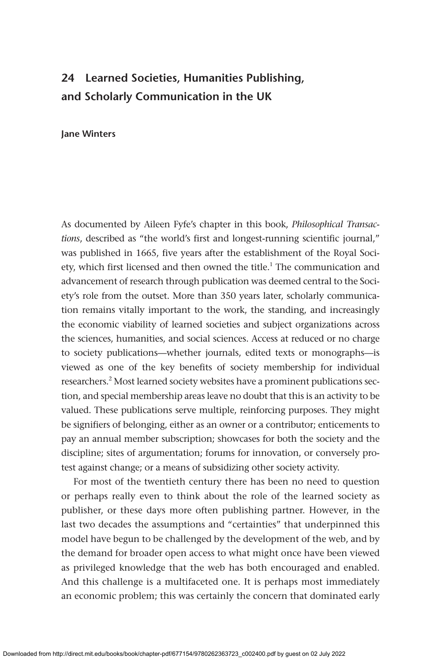### **24 Learned Societies, Humanities Publishing, and Scholarly Communication in the UK**

### **Jane Winters**

As documented by Aileen Fyfe's chapter in this book, *Philosophical Transactions*, described as "the world's first and longest-running scientific journal," was published in 1665, five years after the establishment of the Royal Society, which first licensed and then owned the title.<sup>1</sup> The communication and advancement of research through publication was deemed central to the Society's role from the outset. More than 350 years later, scholarly communication remains vitally important to the work, the standing, and increasingly the economic viability of learned societies and subject organizations across the sciences, humanities, and social sciences. Access at reduced or no charge to society publications—whether journals, edited texts or monographs—is viewed as one of the key benefits of society membership for individual researchers.<sup>2</sup> Most learned society websites have a prominent publications section, and special membership areas leave no doubt that this is an activity to be valued. These publications serve multiple, reinforcing purposes. They might be signifiers of belonging, either as an owner or a contributor; enticements to pay an annual member subscription; showcases for both the society and the discipline; sites of argumentation; forums for innovation, or conversely protest against change; or a means of subsidizing other society activity.

For most of the twentieth century there has been no need to question or perhaps really even to think about the role of the learned society as publisher, or these days more often publishing partner. However, in the last two decades the assumptions and "certainties" that underpinned this model have begun to be challenged by the development of the web, and by the demand for broader open access to what might once have been viewed as privileged knowledge that the web has both encouraged and enabled. And this challenge is a multifaceted one. It is perhaps most immediately an economic problem; this was certainly the concern that dominated early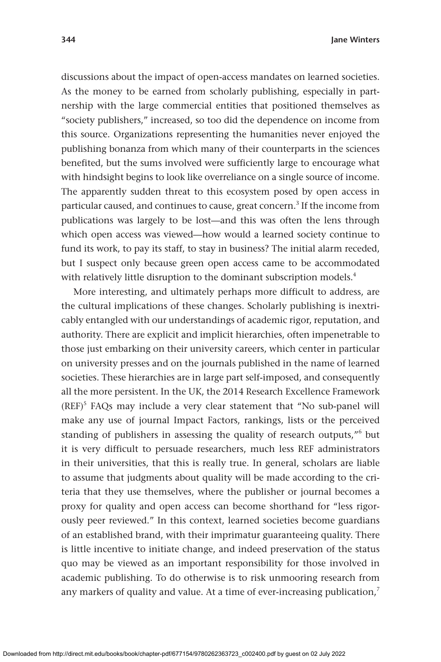**344 Jane Winters**

discussions about the impact of open-access mandates on learned societies. As the money to be earned from scholarly publishing, especially in partnership with the large commercial entities that positioned themselves as "society publishers," increased, so too did the dependence on income from this source. Organizations representing the humanities never enjoyed the publishing bonanza from which many of their counterparts in the sciences benefited, but the sums involved were sufficiently large to encourage what with hindsight begins to look like overreliance on a single source of income. The apparently sudden threat to this ecosystem posed by open access in particular caused, and continues to cause, great concern.<sup>3</sup> If the income from publications was largely to be lost—and this was often the lens through which open access was viewed—how would a learned society continue to fund its work, to pay its staff, to stay in business? The initial alarm receded, but I suspect only because green open access came to be accommodated with relatively little disruption to the dominant subscription models.<sup>4</sup>

More interesting, and ultimately perhaps more difficult to address, are the cultural implications of these changes. Scholarly publishing is inextricably entangled with our understandings of academic rigor, reputation, and authority. There are explicit and implicit hierarchies, often impenetrable to those just embarking on their university careers, which center in particular on university presses and on the journals published in the name of learned societies. These hierarchies are in large part self-imposed, and consequently all the more persistent. In the UK, the 2014 Research Excellence Framework  $(REF)^5$  FAQs may include a very clear statement that "No sub-panel will make any use of journal Impact Factors, rankings, lists or the perceived standing of publishers in assessing the quality of research outputs,"<sup>6</sup> but it is very difficult to persuade researchers, much less REF administrators in their universities, that this is really true. In general, scholars are liable to assume that judgments about quality will be made according to the criteria that they use themselves, where the publisher or journal becomes a proxy for quality and open access can become shorthand for "less rigorously peer reviewed." In this context, learned societies become guardians of an established brand, with their imprimatur guaranteeing quality. There is little incentive to initiate change, and indeed preservation of the status quo may be viewed as an important responsibility for those involved in academic publishing. To do otherwise is to risk unmooring research from any markers of quality and value. At a time of ever-increasing publication, $^7$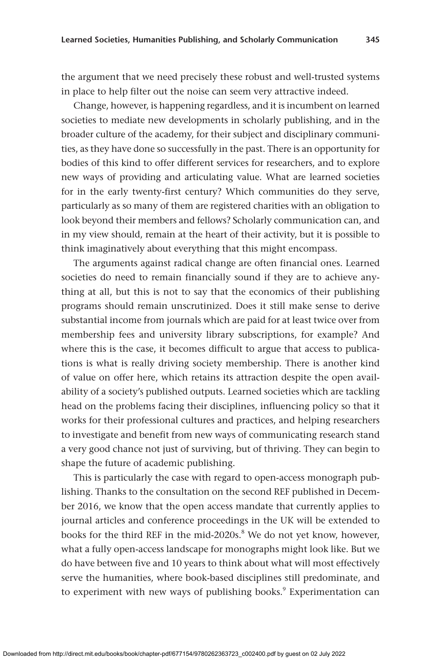the argument that we need precisely these robust and well-trusted systems in place to help filter out the noise can seem very attractive indeed.

Change, however, is happening regardless, and it is incumbent on learned societies to mediate new developments in scholarly publishing, and in the broader culture of the academy, for their subject and disciplinary communities, as they have done so successfully in the past. There is an opportunity for bodies of this kind to offer different services for researchers, and to explore new ways of providing and articulating value. What are learned societies for in the early twenty-first century? Which communities do they serve, particularly as so many of them are registered charities with an obligation to look beyond their members and fellows? Scholarly communication can, and in my view should, remain at the heart of their activity, but it is possible to think imaginatively about everything that this might encompass.

The arguments against radical change are often financial ones. Learned societies do need to remain financially sound if they are to achieve anything at all, but this is not to say that the economics of their publishing programs should remain unscrutinized. Does it still make sense to derive substantial income from journals which are paid for at least twice over from membership fees and university library subscriptions, for example? And where this is the case, it becomes difficult to argue that access to publications is what is really driving society membership. There is another kind of value on offer here, which retains its attraction despite the open availability of a society's published outputs. Learned societies which are tackling head on the problems facing their disciplines, influencing policy so that it works for their professional cultures and practices, and helping researchers to investigate and benefit from new ways of communicating research stand a very good chance not just of surviving, but of thriving. They can begin to shape the future of academic publishing.

This is particularly the case with regard to open-access monograph publishing. Thanks to the consultation on the second REF published in December 2016, we know that the open access mandate that currently applies to journal articles and conference proceedings in the UK will be extended to books for the third REF in the mid-2020s.<sup>8</sup> We do not yet know, however, what a fully open-access landscape for monographs might look like. But we do have between five and 10 years to think about what will most effectively serve the humanities, where book-based disciplines still predominate, and to experiment with new ways of publishing books.<sup>9</sup> Experimentation can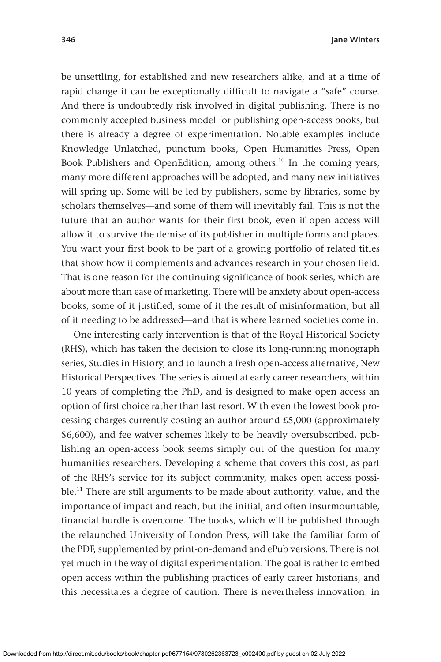**346 Jane Winters**

be unsettling, for established and new researchers alike, and at a time of rapid change it can be exceptionally difficult to navigate a "safe" course. And there is undoubtedly risk involved in digital publishing. There is no commonly accepted business model for publishing open-access books, but there is already a degree of experimentation. Notable examples include Knowledge Unlatched, punctum books, Open Humanities Press, Open Book Publishers and OpenEdition, among others.<sup>10</sup> In the coming years, many more different approaches will be adopted, and many new initiatives will spring up. Some will be led by publishers, some by libraries, some by scholars themselves—and some of them will inevitably fail. This is not the future that an author wants for their first book, even if open access will allow it to survive the demise of its publisher in multiple forms and places. You want your first book to be part of a growing portfolio of related titles that show how it complements and advances research in your chosen field. That is one reason for the continuing significance of book series, which are about more than ease of marketing. There will be anxiety about open-access books, some of it justified, some of it the result of misinformation, but all of it needing to be addressed—and that is where learned societies come in.

One interesting early intervention is that of the Royal Historical Society (RHS), which has taken the decision to close its long-running monograph series, Studies in History, and to launch a fresh open-access alternative, New Historical Perspectives. The series is aimed at early career researchers, within 10 years of completing the PhD, and is designed to make open access an option of first choice rather than last resort. With even the lowest book processing charges currently costing an author around £5,000 (approximately \$6,600), and fee waiver schemes likely to be heavily oversubscribed, publishing an open-access book seems simply out of the question for many humanities researchers. Developing a scheme that covers this cost, as part of the RHS's service for its subject community, makes open access possible.<sup>11</sup> There are still arguments to be made about authority, value, and the importance of impact and reach, but the initial, and often insurmountable, financial hurdle is overcome. The books, which will be published through the relaunched University of London Press, will take the familiar form of the PDF, supplemented by print-on-demand and ePub versions. There is not yet much in the way of digital experimentation. The goal is rather to embed open access within the publishing practices of early career historians, and this necessitates a degree of caution. There is nevertheless innovation: in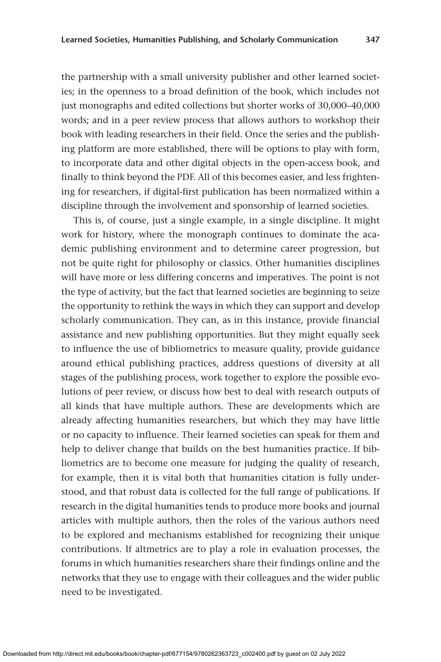the partnership with a small university publisher and other learned societies; in the openness to a broad definition of the book, which includes not just monographs and edited collections but shorter works of 30,000–40,000 words; and in a peer review process that allows authors to workshop their book with leading researchers in their field. Once the series and the publishing platform are more established, there will be options to play with form, to incorporate data and other digital objects in the open-access book, and finally to think beyond the PDF. All of this becomes easier, and less frightening for researchers, if digital-first publication has been normalized within a discipline through the involvement and sponsorship of learned societies.

This is, of course, just a single example, in a single discipline. It might work for history, where the monograph continues to dominate the academic publishing environment and to determine career progression, but not be quite right for philosophy or classics. Other humanities disciplines will have more or less differing concerns and imperatives. The point is not the type of activity, but the fact that learned societies are beginning to seize the opportunity to rethink the ways in which they can support and develop scholarly communication. They can, as in this instance, provide financial assistance and new publishing opportunities. But they might equally seek to influence the use of bibliometrics to measure quality, provide guidance around ethical publishing practices, address questions of diversity at all stages of the publishing process, work together to explore the possible evolutions of peer review, or discuss how best to deal with research outputs of all kinds that have multiple authors. These are developments which are already affecting humanities researchers, but which they may have little or no capacity to influence. Their learned societies can speak for them and help to deliver change that builds on the best humanities practice. If bibliometrics are to become one measure for judging the quality of research, for example, then it is vital both that humanities citation is fully understood, and that robust data is collected for the full range of publications. If research in the digital humanities tends to produce more books and journal articles with multiple authors, then the roles of the various authors need to be explored and mechanisms established for recognizing their unique contributions. If altmetrics are to play a role in evaluation processes, the forums in which humanities researchers share their findings online and the networks that they use to engage with their colleagues and the wider public need to be investigated.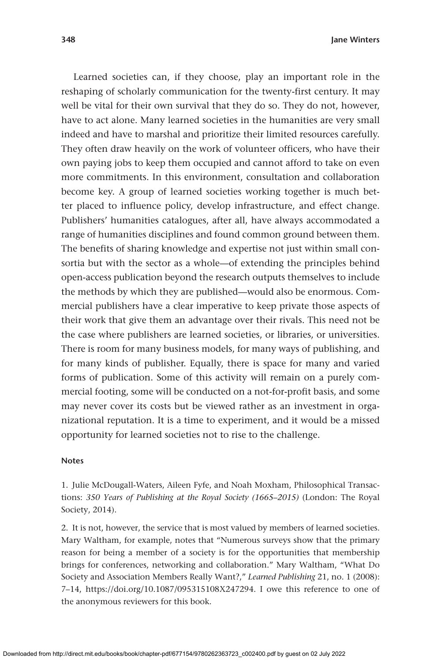**348 Jane Winters**

Learned societies can, if they choose, play an important role in the reshaping of scholarly communication for the twenty-first century. It may well be vital for their own survival that they do so. They do not, however, have to act alone. Many learned societies in the humanities are very small indeed and have to marshal and prioritize their limited resources carefully. They often draw heavily on the work of volunteer officers, who have their own paying jobs to keep them occupied and cannot afford to take on even more commitments. In this environment, consultation and collaboration become key. A group of learned societies working together is much better placed to influence policy, develop infrastructure, and effect change. Publishers' humanities catalogues, after all, have always accommodated a range of humanities disciplines and found common ground between them. The benefits of sharing knowledge and expertise not just within small consortia but with the sector as a whole—of extending the principles behind open-access publication beyond the research outputs themselves to include the methods by which they are published—would also be enormous. Commercial publishers have a clear imperative to keep private those aspects of their work that give them an advantage over their rivals. This need not be the case where publishers are learned societies, or libraries, or universities. There is room for many business models, for many ways of publishing, and for many kinds of publisher. Equally, there is space for many and varied forms of publication. Some of this activity will remain on a purely commercial footing, some will be conducted on a not-for-profit basis, and some may never cover its costs but be viewed rather as an investment in organizational reputation. It is a time to experiment, and it would be a missed opportunity for learned societies not to rise to the challenge.

#### **Notes**

1. Julie McDougall-Waters, Aileen Fyfe, and Noah Moxham, Philosophical Transactions: *350 Years of Publishing at the Royal Society (1665–2015)* (London: The Royal Society, 2014).

2. It is not, however, the service that is most valued by members of learned societies. Mary Waltham, for example, notes that "Numerous surveys show that the primary reason for being a member of a society is for the opportunities that membership brings for conferences, networking and collaboration." Mary Waltham, "What Do Society and Association Members Really Want?," *Learned Publishing* 21, no. 1 (2008): 7–14, <https://doi.org/10.1087/095315108X247294>. I owe this reference to one of the anonymous reviewers for this book.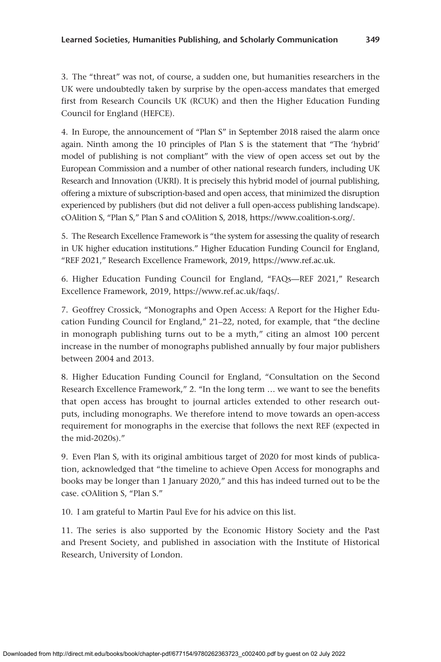3. The "threat" was not, of course, a sudden one, but humanities researchers in the UK were undoubtedly taken by surprise by the open-access mandates that emerged first from Research Councils UK (RCUK) and then the Higher Education Funding Council for England (HEFCE).

4. In Europe, the announcement of "Plan S" in September 2018 raised the alarm once again. Ninth among the 10 principles of Plan S is the statement that "The 'hybrid' model of publishing is not compliant" with the view of open access set out by the European Commission and a number of other national research funders, including UK Research and Innovation (UKRI). It is precisely this hybrid model of journal publishing, offering a mixture of subscription-based and open access, that minimized the disruption experienced by publishers (but did not deliver a full open-access publishing landscape). cOAlition S, "Plan S," Plan S and cOAlition S, 2018, [https://www.coalition-s.org/.](https://www.coalition-s.org/)

5. The Research Excellence Framework is "the system for assessing the quality of research in UK higher education institutions." Higher Education Funding Council for England, "REF 2021," Research Excellence Framework, 2019,<https://www.ref.ac.uk>.

6. Higher Education Funding Council for England, "FAQs—REF 2021," Research Excellence Framework, 2019, <https://www.ref.ac.uk/faqs/>.

7. Geoffrey Crossick, "Monographs and Open Access: A Report for the Higher Education Funding Council for England," 21–22, noted, for example, that "the decline in monograph publishing turns out to be a myth," citing an almost 100 percent increase in the number of monographs published annually by four major publishers between 2004 and 2013.

8. Higher Education Funding Council for England, "Consultation on the Second Research Excellence Framework," 2. "In the long term … we want to see the benefits that open access has brought to journal articles extended to other research outputs, including monographs. We therefore intend to move towards an open-access requirement for monographs in the exercise that follows the next REF (expected in the mid-2020s)."

9. Even Plan S, with its original ambitious target of 2020 for most kinds of publication, acknowledged that "the timeline to achieve Open Access for monographs and books may be longer than 1 January 2020," and this has indeed turned out to be the case. cOAlition S, "Plan S."

10. I am grateful to Martin Paul Eve for his advice on this list.

11. The series is also supported by the Economic History Society and the Past and Present Society, and published in association with the Institute of Historical Research, University of London.